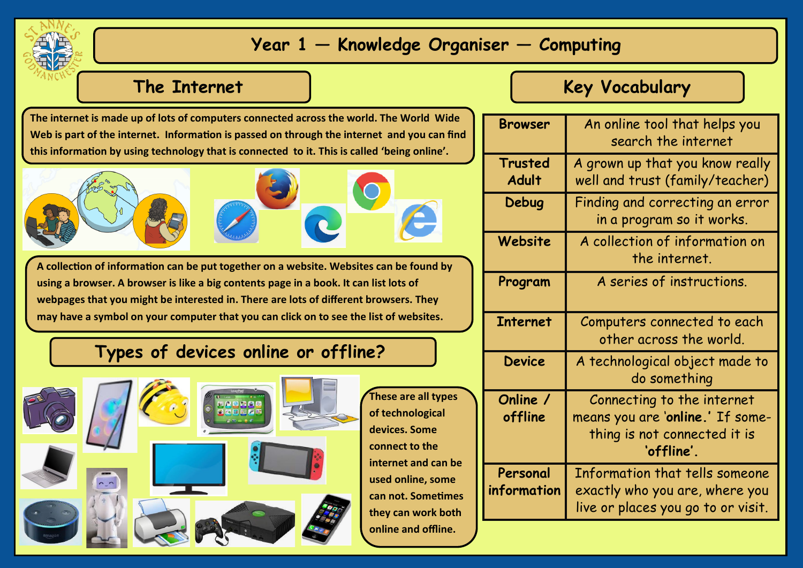

## **Year 1 — Knowledge Organiser — Computing**

#### **The Internet**

**The internet is made up of lots of computers connected across the world. The World Wide Web is part of the internet. Information is passed on through the internet and you can find this information by using technology that is connected to it. This is called 'being online'.** 



**A collection of information can be put together on a website. Websites can be found by using a browser. A browser is like a big contents page in a book. It can list lots of webpages that you might be interested in. There are lots of different browsers. They may have a symbol on your computer that you can click on to see the list of websites.** 

### **Types of devices online or offline?**



# **Key Vocabulary**

| <b>Browser</b>          | An online tool that helps you<br>search the internet                                                         |
|-------------------------|--------------------------------------------------------------------------------------------------------------|
| Trusted<br><b>Adult</b> | A grown up that you know really<br>well and trust (family/teacher)                                           |
| Debug                   | Finding and correcting an error<br>in a program so it works.                                                 |
| Website                 | A collection of information on<br>the internet.                                                              |
| Program                 | A series of instructions.                                                                                    |
| <b>Internet</b>         | Computers connected to each<br>other across the world.                                                       |
| <b>Device</b>           | A technological object made to<br>do something                                                               |
| Online /<br>offline     | Connecting to the internet<br>means you are 'online.' If some-<br>thing is not connected it is<br>'offline'. |
| Personal<br>information | Information that tells someone<br>exactly who you are, where you<br>live or places you go to or visit.       |